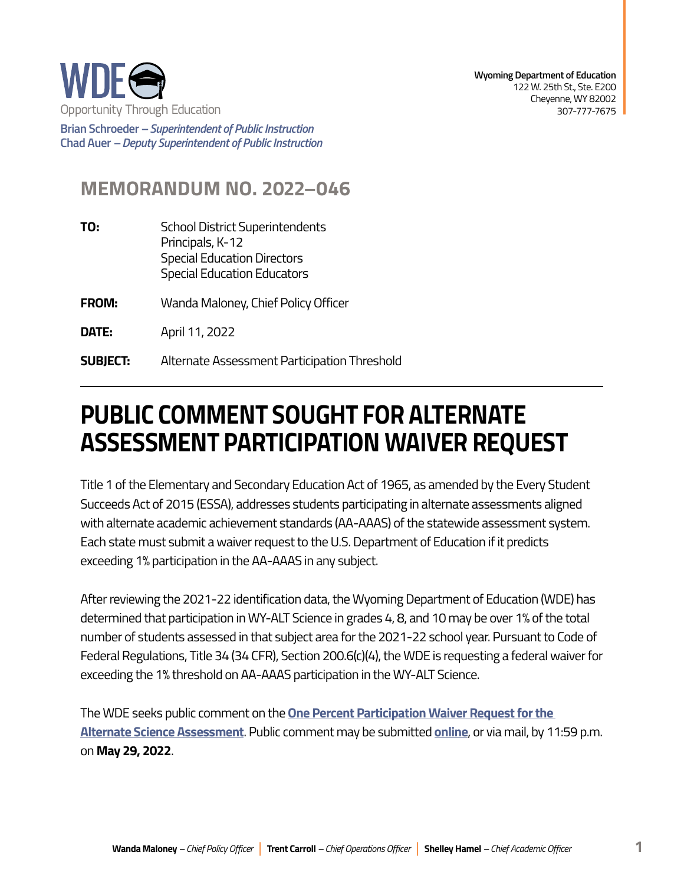

**Brian Schroeder –***Superintendent of Public Instruction*  **Chad Auer** *– Deputy Superintendent of Public Instruction* 

## **MEMORANDUM NO. 2022–046**

- **TO:** School District Superintendents Principals, K-12 Special Education Directors Special Education Educators
- **FROM:** Wanda Maloney, Chief Policy Officer
- **DATE:** April 11, 2022

**SUBJECT:** Alternate Assessment Participation Threshold

## **PUBLIC COMMENT SOUGHT FOR ALTERNATE ASSESSMENT PARTICIPATION WAIVER REQUEST**

Title 1 of the Elementary and Secondary Education Act of 1965, as amended by the Every Student Succeeds Act of 2015 (ESSA), addresses students participating in alternate assessments aligned with alternate academic achievement standards (AA-AAAS) of the statewide assessment system. Each state must submit a waiver request to the U.S. Department of Education if it predicts exceeding 1% participation in the AA-AAAS in any subject.

After reviewing the 2021-22 identification data, the Wyoming Department of Education (WDE) has determined that participation in WY-ALT Science in grades 4, 8, and 10 may be over 1% of the total number of students assessed in that subject area for the 2021-22 school year. Pursuant to Code of Federal Regulations, Title 34 (34 CFR), Section 200.6(c)(4), the WDE is requesting a federal waiver for exceeding the 1% threshold on AA-AAAS participation in the WY-ALT Science.

The WDE seeks public comment on the **[One Percent Participation Waiver Request for the](https://edu.wyoming.gov/wp-content/uploads/2022/04/One-Percent-Participation-Waiver-Request-for-the-Alternate-Science-Assessment.pdf)  [Alternate Science Assessment](https://edu.wyoming.gov/wp-content/uploads/2022/04/One-Percent-Participation-Waiver-Request-for-the-Alternate-Science-Assessment.pdf)**. Public comment may be submitted **[online](https://docs.google.com/forms/d/e/1FAIpQLSd3KnpBP1lzSG6rIWmbThpjqOx6oMZ-1lg_aki66dZRHVRTYA/viewform?usp=sf_link)**, or via mail, by 11:59 p.m. on **May 29, 2022**.